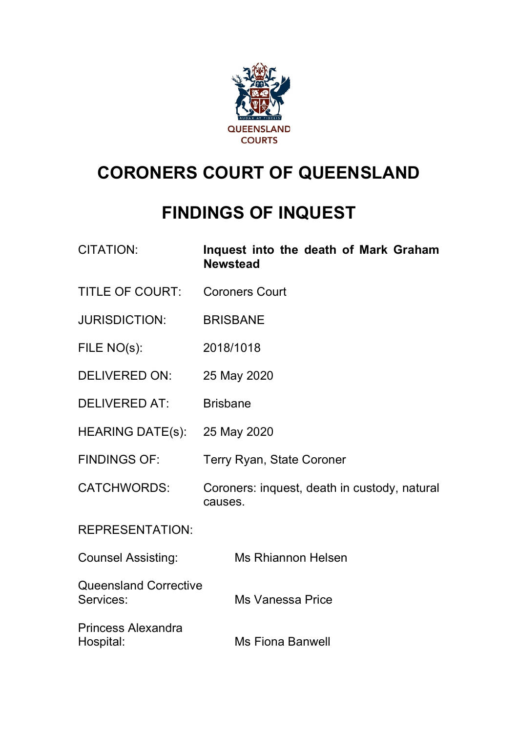

# **CORONERS COURT OF QUEENSLAND**

## **FINDINGS OF INQUEST**

| <b>CITATION:</b>                          | Inquest into the death of Mark Graham<br><b>Newstead</b> |
|-------------------------------------------|----------------------------------------------------------|
| <b>TITLE OF COURT:</b>                    | <b>Coroners Court</b>                                    |
| <b>JURISDICTION:</b>                      | <b>BRISBANE</b>                                          |
| FILE NO(s):                               | 2018/1018                                                |
| <b>DELIVERED ON:</b>                      | 25 May 2020                                              |
| <b>DELIVERED AT:</b>                      | <b>Brisbane</b>                                          |
| HEARING DATE(s): 25 May 2020              |                                                          |
| <b>FINDINGS OF:</b>                       | <b>Terry Ryan, State Coroner</b>                         |
| <b>CATCHWORDS:</b>                        | Coroners: inquest, death in custody, natural<br>causes.  |
| <b>REPRESENTATION:</b>                    |                                                          |
| <b>Counsel Assisting:</b>                 | <b>Ms Rhiannon Helsen</b>                                |
| <b>Queensland Corrective</b><br>Services: | <b>Ms Vanessa Price</b>                                  |
| <b>Princess Alexandra</b><br>Hospital:    | <b>Ms Fiona Banwell</b>                                  |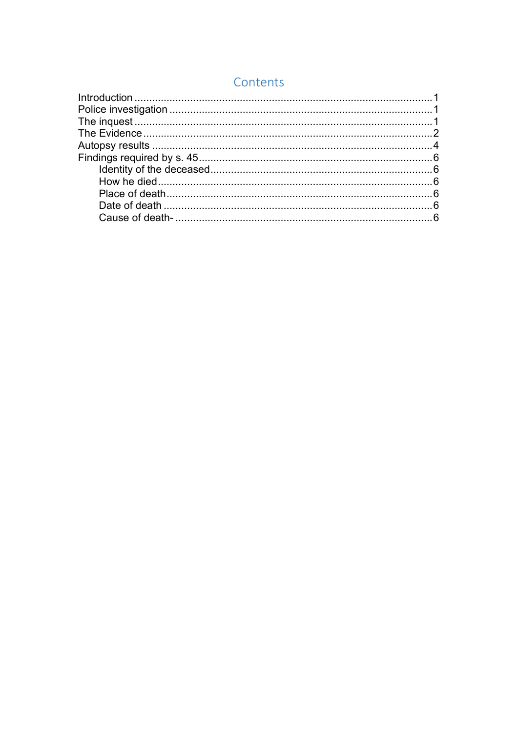## Contents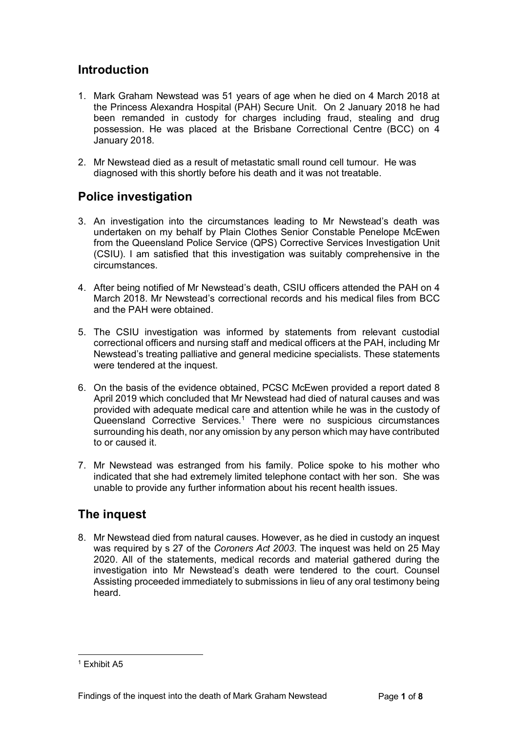## <span id="page-2-0"></span>**Introduction**

- 1. Mark Graham Newstead was 51 years of age when he died on 4 March 2018 at the Princess Alexandra Hospital (PAH) Secure Unit. On 2 January 2018 he had been remanded in custody for charges including fraud, stealing and drug possession. He was placed at the Brisbane Correctional Centre (BCC) on 4 January 2018.
- 2. Mr Newstead died as a result of metastatic small round cell tumour. He was diagnosed with this shortly before his death and it was not treatable.

## <span id="page-2-1"></span>**Police investigation**

- 3. An investigation into the circumstances leading to Mr Newstead's death was undertaken on my behalf by Plain Clothes Senior Constable Penelope McEwen from the Queensland Police Service (QPS) Corrective Services Investigation Unit (CSIU). I am satisfied that this investigation was suitably comprehensive in the circumstances.
- 4. After being notified of Mr Newstead's death, CSIU officers attended the PAH on 4 March 2018. Mr Newstead's correctional records and his medical files from BCC and the PAH were obtained.
- 5. The CSIU investigation was informed by statements from relevant custodial correctional officers and nursing staff and medical officers at the PAH, including Mr Newstead's treating palliative and general medicine specialists. These statements were tendered at the inquest.
- 6. On the basis of the evidence obtained, PCSC McEwen provided a report dated 8 April 2019 which concluded that Mr Newstead had died of natural causes and was provided with adequate medical care and attention while he was in the custody of Queensland Corrective Services.<sup>[1](#page-2-3)</sup> There were no suspicious circumstances surrounding his death, nor any omission by any person which may have contributed to or caused it.
- 7. Mr Newstead was estranged from his family. Police spoke to his mother who indicated that she had extremely limited telephone contact with her son. She was unable to provide any further information about his recent health issues.

## <span id="page-2-2"></span>**The inquest**

8. Mr Newstead died from natural causes. However, as he died in custody an inquest was required by s 27 of the *Coroners Act 2003*. The inquest was held on 25 May 2020. All of the statements, medical records and material gathered during the investigation into Mr Newstead's death were tendered to the court. Counsel Assisting proceeded immediately to submissions in lieu of any oral testimony being heard.

<span id="page-2-3"></span><sup>1</sup> Exhibit A5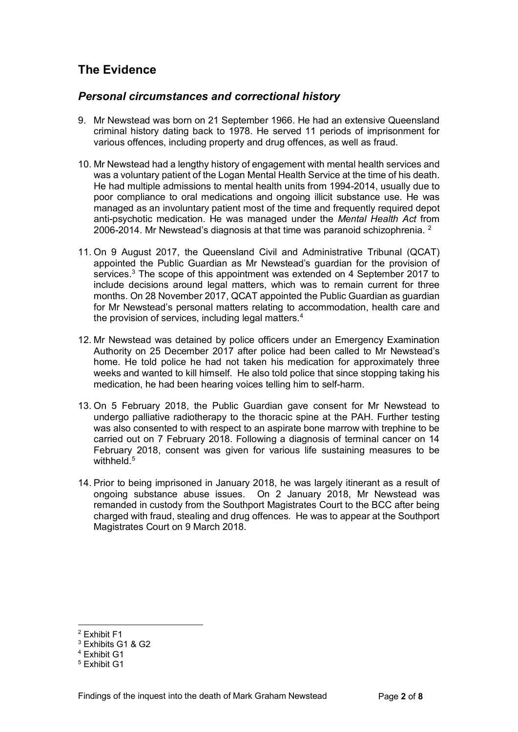## <span id="page-3-0"></span>**The Evidence**

#### *Personal circumstances and correctional history*

- 9. Mr Newstead was born on 21 September 1966. He had an extensive Queensland criminal history dating back to 1978. He served 11 periods of imprisonment for various offences, including property and drug offences, as well as fraud.
- 10. Mr Newstead had a lengthy history of engagement with mental health services and was a voluntary patient of the Logan Mental Health Service at the time of his death. He had multiple admissions to mental health units from 1994-2014, usually due to poor compliance to oral medications and ongoing illicit substance use. He was managed as an involuntary patient most of the time and frequently required depot anti-psychotic medication. He was managed under the *Mental Health Act* from [2](#page-3-1)006-2014. Mr Newstead's diagnosis at that time was paranoid schizophrenia. <sup>2</sup>
- 11. On 9 August 2017, the Queensland Civil and Administrative Tribunal (QCAT) appointed the Public Guardian as Mr Newstead's guardian for the provision of services.<sup>[3](#page-3-2)</sup> The scope of this appointment was extended on 4 September 2017 to include decisions around legal matters, which was to remain current for three months. On 28 November 2017, QCAT appointed the Public Guardian as guardian for Mr Newstead's personal matters relating to accommodation, health care and the provision of services, including legal matters.<sup>[4](#page-3-3)</sup>
- 12. Mr Newstead was detained by police officers under an Emergency Examination Authority on 25 December 2017 after police had been called to Mr Newstead's home. He told police he had not taken his medication for approximately three weeks and wanted to kill himself. He also told police that since stopping taking his medication, he had been hearing voices telling him to self-harm.
- 13. On 5 February 2018, the Public Guardian gave consent for Mr Newstead to undergo palliative radiotherapy to the thoracic spine at the PAH. Further testing was also consented to with respect to an aspirate bone marrow with trephine to be carried out on 7 February 2018. Following a diagnosis of terminal cancer on 14 February 2018, consent was given for various life sustaining measures to be withheld.<sup>[5](#page-3-4)</sup>
- 14. Prior to being imprisoned in January 2018, he was largely itinerant as a result of ongoing substance abuse issues. On 2 January 2018, Mr Newstead was remanded in custody from the Southport Magistrates Court to the BCC after being charged with fraud, stealing and drug offences. He was to appear at the Southport Magistrates Court on 9 March 2018.

<span id="page-3-1"></span><sup>2</sup> Exhibit F1

<span id="page-3-2"></span><sup>3</sup> Exhibits G1 & G2

<span id="page-3-3"></span><sup>4</sup> Exhibit G1

<span id="page-3-4"></span><sup>5</sup> Exhibit G1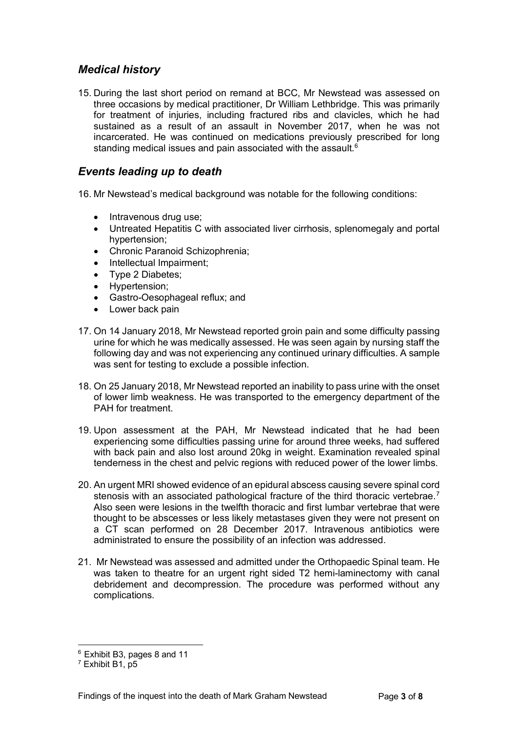#### *Medical history*

15. During the last short period on remand at BCC, Mr Newstead was assessed on three occasions by medical practitioner, Dr William Lethbridge. This was primarily for treatment of injuries, including fractured ribs and clavicles, which he had sustained as a result of an assault in November 2017, when he was not incarcerated. He was continued on medications previously prescribed for long standing medical issues and pain associated with the assault. $6$ 

#### *Events leading up to death*

- 16. Mr Newstead's medical background was notable for the following conditions:
	- Intravenous drug use;
	- Untreated Hepatitis C with associated liver cirrhosis, splenomegaly and portal hypertension;
	- Chronic Paranoid Schizophrenia;
	- Intellectual Impairment;
	- Type 2 Diabetes;
	- Hypertension;
	- Gastro-Oesophageal reflux; and
	- Lower back pain
- 17. On 14 January 2018, Mr Newstead reported groin pain and some difficulty passing urine for which he was medically assessed. He was seen again by nursing staff the following day and was not experiencing any continued urinary difficulties. A sample was sent for testing to exclude a possible infection.
- 18. On 25 January 2018, Mr Newstead reported an inability to pass urine with the onset of lower limb weakness. He was transported to the emergency department of the PAH for treatment.
- 19. Upon assessment at the PAH, Mr Newstead indicated that he had been experiencing some difficulties passing urine for around three weeks, had suffered with back pain and also lost around 20kg in weight. Examination revealed spinal tenderness in the chest and pelvic regions with reduced power of the lower limbs.
- 20. An urgent MRI showed evidence of an epidural abscess causing severe spinal cord stenosis with an associated pathological fracture of the third thoracic vertebrae.<sup>[7](#page-4-1)</sup> Also seen were lesions in the twelfth thoracic and first lumbar vertebrae that were thought to be abscesses or less likely metastases given they were not present on a CT scan performed on 28 December 2017. Intravenous antibiotics were administrated to ensure the possibility of an infection was addressed.
- 21. Mr Newstead was assessed and admitted under the Orthopaedic Spinal team. He was taken to theatre for an urgent right sided T2 hemi-laminectomy with canal debridement and decompression. The procedure was performed without any complications.

<span id="page-4-0"></span><sup>6</sup> Exhibit B3, pages 8 and 11

<span id="page-4-1"></span><sup>7</sup> Exhibit B1, p5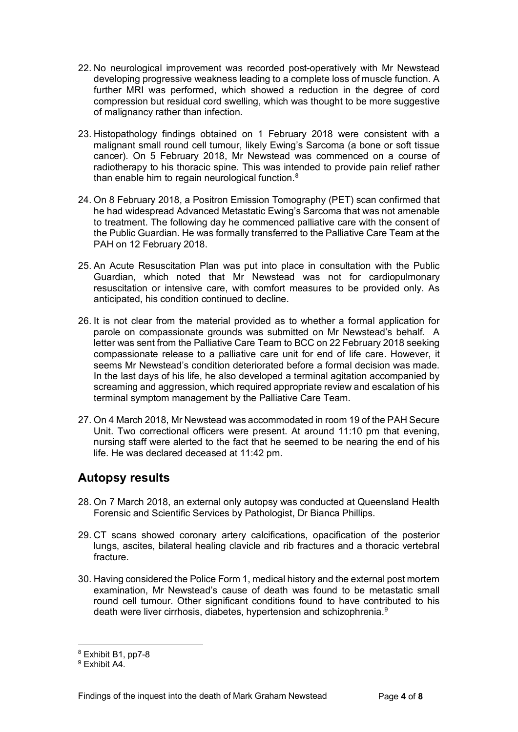- 22. No neurological improvement was recorded post-operatively with Mr Newstead developing progressive weakness leading to a complete loss of muscle function. A further MRI was performed, which showed a reduction in the degree of cord compression but residual cord swelling, which was thought to be more suggestive of malignancy rather than infection.
- 23. Histopathology findings obtained on 1 February 2018 were consistent with a malignant small round cell tumour, likely Ewing's Sarcoma (a bone or soft tissue cancer). On 5 February 2018, Mr Newstead was commenced on a course of radiotherapy to his thoracic spine. This was intended to provide pain relief rather than enable him to regain neurological function.<sup>8</sup>
- 24. On 8 February 2018, a Positron Emission Tomography (PET) scan confirmed that he had widespread Advanced Metastatic Ewing's Sarcoma that was not amenable to treatment. The following day he commenced palliative care with the consent of the Public Guardian. He was formally transferred to the Palliative Care Team at the PAH on 12 February 2018.
- 25. An Acute Resuscitation Plan was put into place in consultation with the Public Guardian, which noted that Mr Newstead was not for cardiopulmonary resuscitation or intensive care, with comfort measures to be provided only. As anticipated, his condition continued to decline.
- 26. It is not clear from the material provided as to whether a formal application for parole on compassionate grounds was submitted on Mr Newstead's behalf. A letter was sent from the Palliative Care Team to BCC on 22 February 2018 seeking compassionate release to a palliative care unit for end of life care. However, it seems Mr Newstead's condition deteriorated before a formal decision was made. In the last days of his life, he also developed a terminal agitation accompanied by screaming and aggression, which required appropriate review and escalation of his terminal symptom management by the Palliative Care Team.
- 27. On 4 March 2018, Mr Newstead was accommodated in room 19 of the PAH Secure Unit. Two correctional officers were present. At around 11:10 pm that evening, nursing staff were alerted to the fact that he seemed to be nearing the end of his life. He was declared deceased at 11:42 pm.

#### <span id="page-5-0"></span>**Autopsy results**

- 28. On 7 March 2018, an external only autopsy was conducted at Queensland Health Forensic and Scientific Services by Pathologist, Dr Bianca Phillips.
- 29. CT scans showed coronary artery calcifications, opacification of the posterior lungs, ascites, bilateral healing clavicle and rib fractures and a thoracic vertebral fracture.
- 30. Having considered the Police Form 1, medical history and the external post mortem examination, Mr Newstead's cause of death was found to be metastatic small round cell tumour. Other significant conditions found to have contributed to his death were liver cirrhosis, diabetes, hypertension and schizophrenia. $^{\rm 9}$  $^{\rm 9}$  $^{\rm 9}$

<span id="page-5-1"></span><sup>8</sup> Exhibit B1, pp7-8

<span id="page-5-2"></span><sup>&</sup>lt;sup>9</sup> Fxhibit A4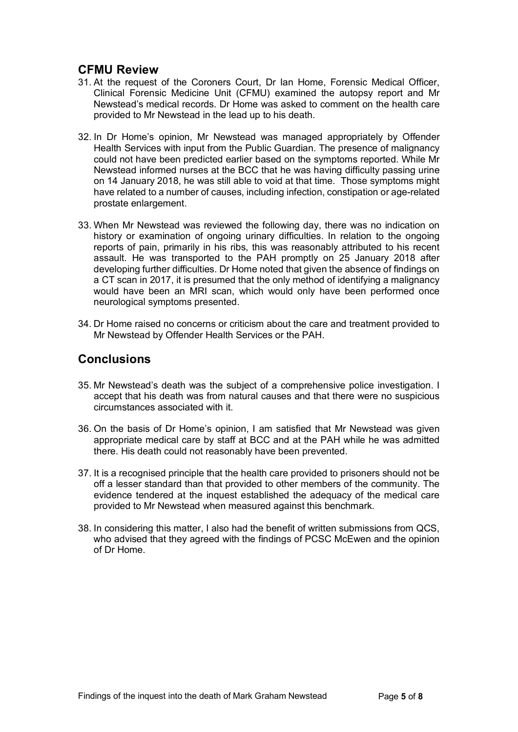### **CFMU Review**

- 31. At the request of the Coroners Court, Dr Ian Home, Forensic Medical Officer, Clinical Forensic Medicine Unit (CFMU) examined the autopsy report and Mr Newstead's medical records. Dr Home was asked to comment on the health care provided to Mr Newstead in the lead up to his death.
- 32. In Dr Home's opinion, Mr Newstead was managed appropriately by Offender Health Services with input from the Public Guardian. The presence of malignancy could not have been predicted earlier based on the symptoms reported. While Mr Newstead informed nurses at the BCC that he was having difficulty passing urine on 14 January 2018, he was still able to void at that time. Those symptoms might have related to a number of causes, including infection, constipation or age-related prostate enlargement.
- 33. When Mr Newstead was reviewed the following day, there was no indication on history or examination of ongoing urinary difficulties. In relation to the ongoing reports of pain, primarily in his ribs, this was reasonably attributed to his recent assault. He was transported to the PAH promptly on 25 January 2018 after developing further difficulties. Dr Home noted that given the absence of findings on a CT scan in 2017, it is presumed that the only method of identifying a malignancy would have been an MRI scan, which would only have been performed once neurological symptoms presented.
- 34. Dr Home raised no concerns or criticism about the care and treatment provided to Mr Newstead by Offender Health Services or the PAH.

## **Conclusions**

- 35. Mr Newstead's death was the subject of a comprehensive police investigation. I accept that his death was from natural causes and that there were no suspicious circumstances associated with it.
- 36. On the basis of Dr Home's opinion, I am satisfied that Mr Newstead was given appropriate medical care by staff at BCC and at the PAH while he was admitted there. His death could not reasonably have been prevented.
- 37. It is a recognised principle that the health care provided to prisoners should not be off a lesser standard than that provided to other members of the community. The evidence tendered at the inquest established the adequacy of the medical care provided to Mr Newstead when measured against this benchmark.
- 38. In considering this matter, I also had the benefit of written submissions from QCS, who advised that they agreed with the findings of PCSC McEwen and the opinion of Dr Home.